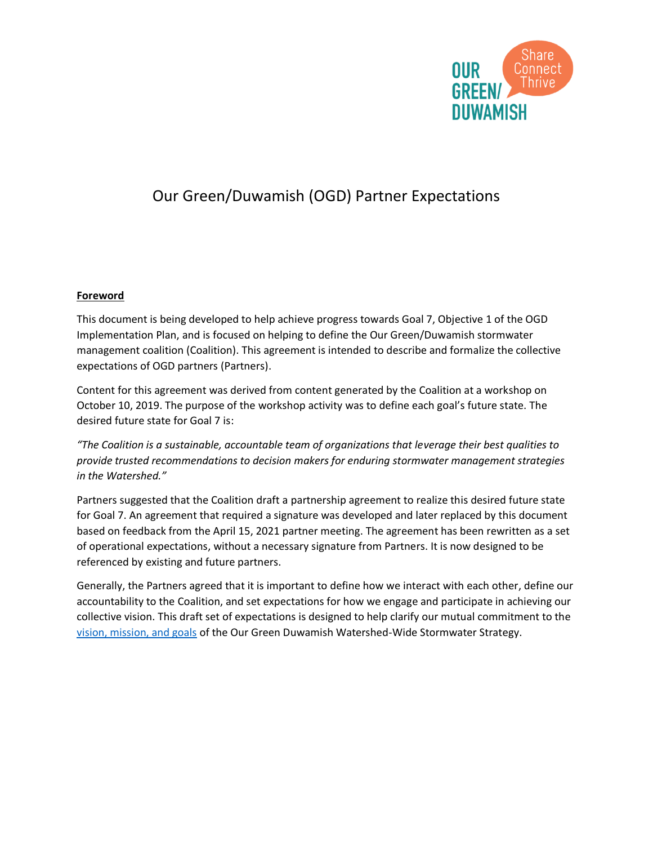

## Our Green/Duwamish (OGD) Partner Expectations

## **Foreword**

This document is being developed to help achieve progress towards Goal 7, Objective 1 of the OGD Implementation Plan, and is focused on helping to define the Our Green/Duwamish stormwater management coalition (Coalition). This agreement is intended to describe and formalize the collective expectations of OGD partners (Partners).

Content for this agreement was derived from content generated by the Coalition at a workshop on October 10, 2019. The purpose of the workshop activity was to define each goal's future state. The desired future state for Goal 7 is:

*"The Coalition is a sustainable, accountable team of organizations that leverage their best qualities to provide trusted recommendations to decision makers for enduring stormwater management strategies in the Watershed."*

Partners suggested that the Coalition draft a partnership agreement to realize this desired future state for Goal 7. An agreement that required a signature was developed and later replaced by this document based on feedback from the April 15, 2021 partner meeting. The agreement has been rewritten as a set of operational expectations, without a necessary signature from Partners. It is now designed to be referenced by existing and future partners.

Generally, the Partners agreed that it is important to define how we interact with each other, define our accountability to the Coalition, and set expectations for how we engage and participate in achieving our collective vision. This draft set of expectations is designed to help clarify our mutual commitment to the [vision, mission, and goals](https://ourgreenduwamish.files.wordpress.com/2021/01/ogd-vision-mission-and-goals.pdf) of the Our Green Duwamish Watershed-Wide Stormwater Strategy.